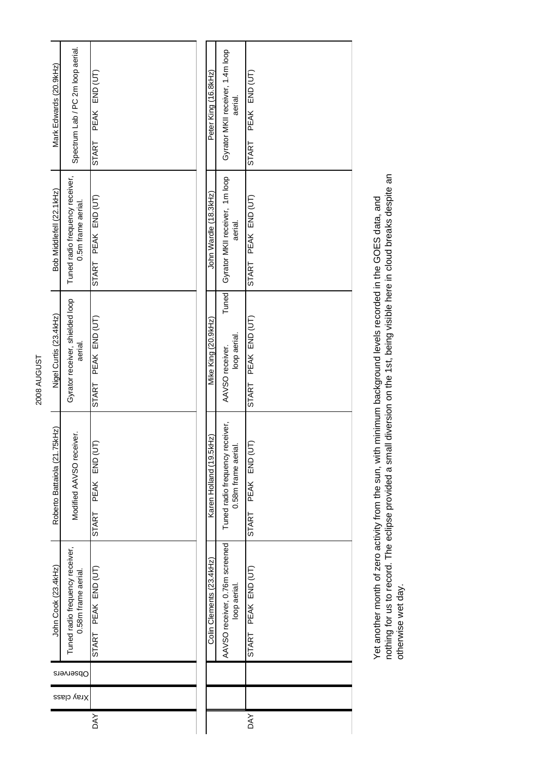|            |            |           | John Cook (23.4kHz)                                    | Roberto Battaiola (21.75kHz)                          | Nigel Curtis (23.4kHz)                     | Bob Middlefell (22.1kHz)                              | Mark Edwards (20.9kHz)                      |
|------------|------------|-----------|--------------------------------------------------------|-------------------------------------------------------|--------------------------------------------|-------------------------------------------------------|---------------------------------------------|
|            | Xray class | Observers | Tuned radio frequency receiver,<br>0.58m frame aerial. | Modified AAVSO receiver.                              | Gyrator receiver, shielded loop<br>aerial. | Tuned radio frequency receiver,<br>0.5m frame aerial. | Spectrum Lab / PC 2m loop aerial.           |
| <b>DAY</b> |            |           | START PEAK END (UT)                                    | PEAK END (UT)<br>START                                | PEAK END (UT)<br>START                     | START PEAK END (UT)                                   | PEAK END (UT)<br>START                      |
|            |            |           |                                                        |                                                       |                                            |                                                       |                                             |
|            |            |           |                                                        |                                                       |                                            |                                                       |                                             |
|            |            |           | Colin Clements (23.4kHz)                               | Karen Holland (19.5kHz)                               | Mike King (20.9kHz)                        | John Wardle (18.3kHz)                                 | Peter King (16.8kHz)                        |
|            |            |           | AAVSO receiver, 0.76m screened<br>loop aerial.         | Tuned radio frequency receiver,<br>0.58m frame aerial | Tuned<br>loop aerial.<br>AAVSO receiver.   | Gyrator MKII receiver, 1m loop<br>aerial.             | Gyrator MKII receiver, 1.4m loop<br>aerial. |
| <b>DAY</b> |            |           | START PEAK END (UT)                                    | START PEAK END (UT                                    | START PEAK END (UT)                        | START PEAK END (UT)                                   | PEAK END (UT)<br><b>START</b>               |
|            |            |           |                                                        |                                                       |                                            |                                                       |                                             |

Yet another month of zero activity from the sun, with minimum background levels recorded in the GOES data, and<br>nothing for us to record. The eclipse provided a small diversion on the 1st, being visible here in cloud breaks nothing for us to record. The eclipse provided a small diversion on the 1st, being visible here in cloud breaks despite an Yet another month of zero activity from the sun, with minimum background levels recorded in the GOES data, and otherwise wet day.

2008 AUGUST